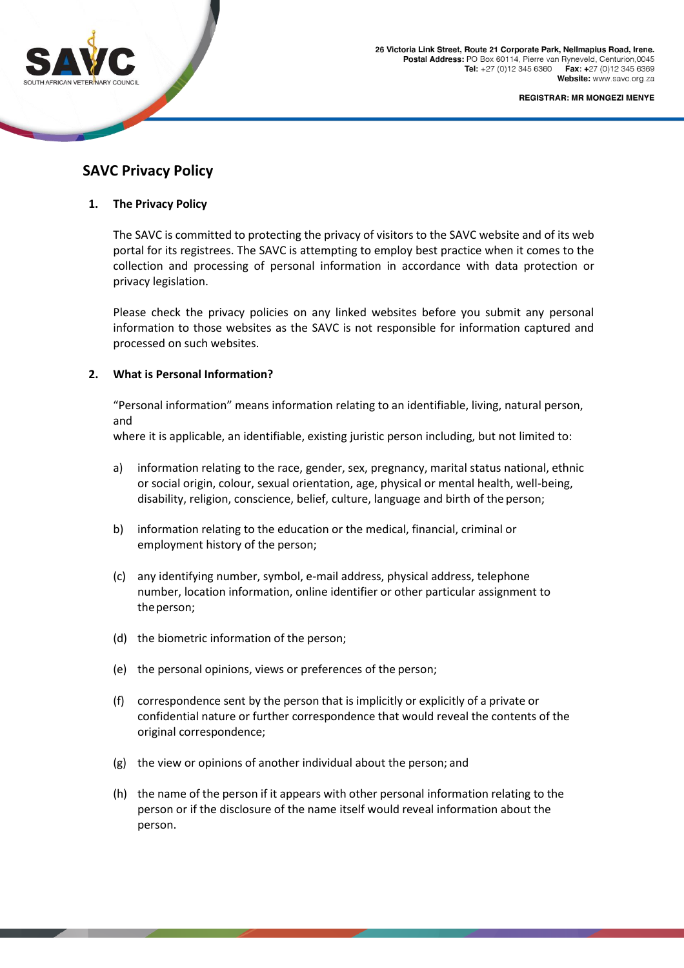

**REGISTRAR: MR MONGEZI MENYE** 

# **SAVC Privacy Policy**

# **1. The Privacy Policy**

The SAVC is committed to protecting the privacy of visitors to the SAVC website and of its web portal for its registrees. The SAVC is attempting to employ best practice when it comes to the collection and processing of personal information in accordance with data protection or privacy legislation.

Please check the privacy policies on any linked websites before you submit any personal information to those websites as the SAVC is not responsible for information captured and processed on such websites.

# **2. What is Personal Information?**

"Personal information" means information relating to an identifiable, living, natural person, and

where it is applicable, an identifiable, existing juristic person including, but not limited to:

- a) information relating to the race, gender, sex, pregnancy, marital status national, ethnic or social origin, colour, sexual orientation, age, physical or mental health, well-being, disability, religion, conscience, belief, culture, language and birth of the person;
- b) information relating to the education or the medical, financial, criminal or employment history of the person;
- (c) any identifying number, symbol, e-mail address, physical address, telephone number, location information, online identifier or other particular assignment to theperson;
- (d) the biometric information of the person;
- (e) the personal opinions, views or preferences of the person;
- (f) correspondence sent by the person that is implicitly or explicitly of a private or confidential nature or further correspondence that would reveal the contents of the original correspondence;
- (g) the view or opinions of another individual about the person; and
- (h) the name of the person if it appears with other personal information relating to the person or if the disclosure of the name itself would reveal information about the person.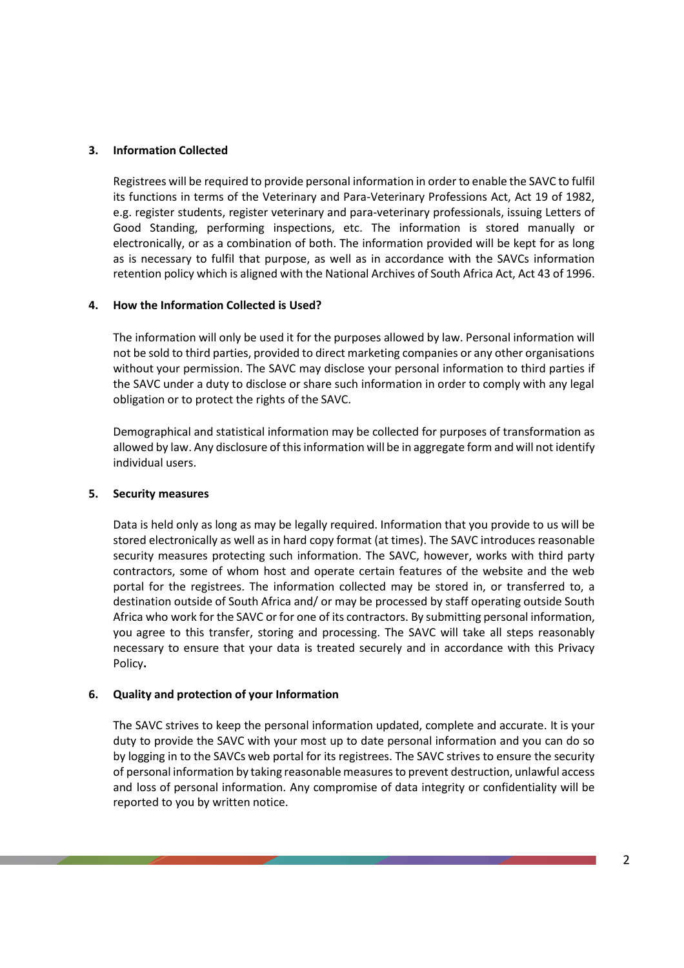#### **3. Information Collected**

Registrees will be required to provide personal information in order to enable the SAVC to fulfil its functions in terms of the Veterinary and Para-Veterinary Professions Act, Act 19 of 1982, e.g. register students, register veterinary and para-veterinary professionals, issuing Letters of Good Standing, performing inspections, etc. The information is stored manually or electronically, or as a combination of both. The information provided will be kept for as long as is necessary to fulfil that purpose, as well as in accordance with the SAVCs information retention policy which is aligned with the National Archives of South Africa Act, Act 43 of 1996.

# **4. How the Information Collected is Used?**

The information will only be used it for the purposes allowed by law. Personal information will not be sold to third parties, provided to direct marketing companies or any other organisations without your permission. The SAVC may disclose your personal information to third parties if the SAVC under a duty to disclose or share such information in order to comply with any legal obligation or to protect the rights of the SAVC.

Demographical and statistical information may be collected for purposes of transformation as allowed by law. Any disclosure of this information will be in aggregate form and will not identify individual users.

#### **5. Security measures**

Data is held only as long as may be legally required. Information that you provide to us will be stored electronically as well as in hard copy format (at times). The SAVC introduces reasonable security measures protecting such information. The SAVC, however, works with third party contractors, some of whom host and operate certain features of the website and the web portal for the registrees. The information collected may be stored in, or transferred to, a destination outside of South Africa and/ or may be processed by staff operating outside South Africa who work for the SAVC or for one of its contractors. By submitting personal information, you agree to this transfer, storing and processing. The SAVC will take all steps reasonably necessary to ensure that your data is treated securely and in accordance with this Privacy Policy**.**

# **6. Quality and protection of your Information**

The SAVC strives to keep the personal information updated, complete and accurate. It is your duty to provide the SAVC with your most up to date personal information and you can do so by logging in to the SAVCs web portal for its registrees. The SAVC strives to ensure the security of personal information by taking reasonable measuresto prevent destruction, unlawful access and loss of personal information. Any compromise of data integrity or confidentiality will be reported to you by written notice.